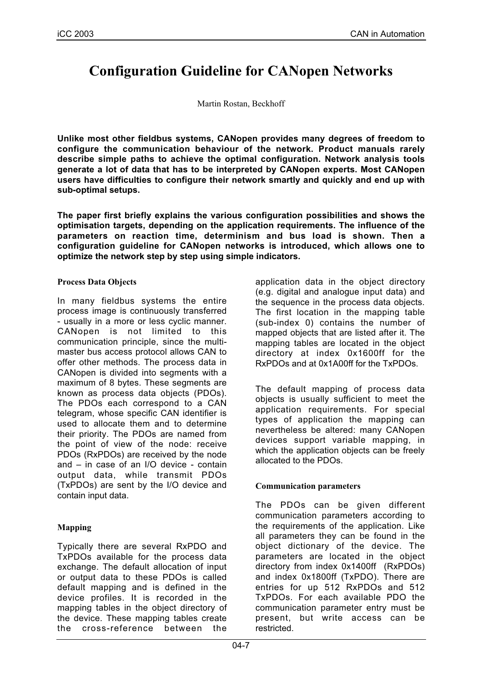# **Configuration Guideline for CANopen Networks**

Martin Rostan, Beckhoff

**Unlike most other fieldbus systems, CANopen provides many degrees of freedom to configure the communication behaviour of the network. Product manuals rarely describe simple paths to achieve the optimal configuration. Network analysis tools generate a lot of data that has to be interpreted by CANopen experts. Most CANopen users have difficulties to configure their network smartly and quickly and end up with sub-optimal setups.**

**The paper first briefly explains the various configuration possibilities and shows the optimisation targets, depending on the application requirements. The influence of the parameters on reaction time, determinism and bus load is shown. Then a configuration guideline for CANopen networks is introduced, which allows one to optimize the network step by step using simple indicators.**

#### **Process Data Objects**

In many fieldbus systems the entire process image is continuously transferred - usually in a more or less cyclic manner. CANopen is not limited to this communication principle, since the multimaster bus access protocol allows CAN to offer other methods. The process data in CANopen is divided into segments with a maximum of 8 bytes. These segments are known as process data objects (PDOs). The PDOs each correspond to a CAN telegram, whose specific CAN identifier is used to allocate them and to determine their priority. The PDOs are named from the point of view of the node: receive PDOs (RxPDOs) are received by the node and – in case of an I/O device - contain output data, while transmit PDOs (TxPDOs) are sent by the I/O device and contain input data.

# **Mapping**

Typically there are several RxPDO and TxPDOs available for the process data exchange. The default allocation of input or output data to these PDOs is called default mapping and is defined in the device profiles. It is recorded in the mapping tables in the object directory of the device. These mapping tables create the cross-reference between the application data in the object directory (e.g. digital and analogue input data) and the sequence in the process data objects. The first location in the mapping table (sub-index 0) contains the number of mapped objects that are listed after it. The mapping tables are located in the object directory at index 0x1600ff for the RxPDOs and at 0x1A00ff for the TxPDOs.

The default mapping of process data objects is usually sufficient to meet the application requirements. For special types of application the mapping can nevertheless be altered: many CANopen devices support variable mapping, in which the application objects can be freely allocated to the PDOs.

# **Communication parameters**

The PDOs can be given different communication parameters according to the requirements of the application. Like all parameters they can be found in the object dictionary of the device. The parameters are located in the object directory from index 0x1400ff (RxPDOs) and index 0x1800ff (TxPDO). There are entries for up 512 RxPDOs and 512 TxPDOs. For each available PDO the communication parameter entry must be present, but write access can be restricted.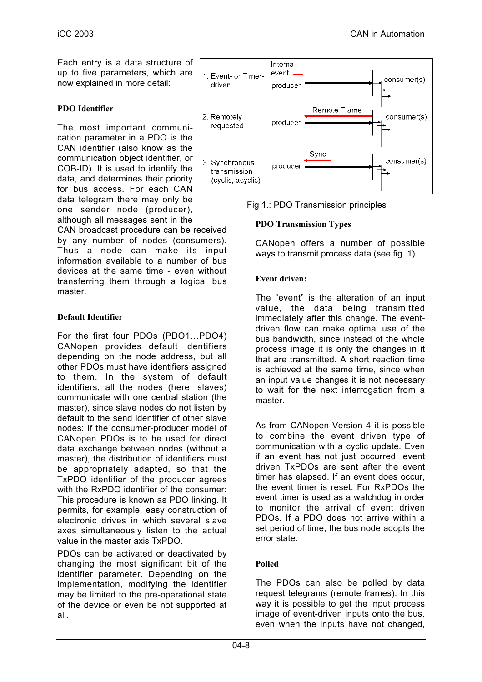Each entry is a data structure of up to five parameters, which are now explained in more detail:

#### **PDO Identifier**

The most important communication parameter in a PDO is the CAN identifier (also know as the communication object identifier, or COB-ID). It is used to identify the data, and determines their priority for bus access. For each CAN data telegram there may only be one sender node (producer), although all messages sent in the

CAN broadcast procedure can be received by any number of nodes (consumers). Thus a node can make its input information available to a number of bus devices at the same time - even without transferring them through a logical bus master.

## **Default Identifier**

For the first four PDOs (PDO1…PDO4) CANopen provides default identifiers depending on the node address, but all other PDOs must have identifiers assigned to them. In the system of default identifiers, all the nodes (here: slaves) communicate with one central station (the master), since slave nodes do not listen by default to the send identifier of other slave nodes: If the consumer-producer model of CANopen PDOs is to be used for direct data exchange between nodes (without a master), the distribution of identifiers must be appropriately adapted, so that the TxPDO identifier of the producer agrees with the RxPDO identifier of the consumer: This procedure is known as PDO linking. It permits, for example, easy construction of electronic drives in which several slave axes simultaneously listen to the actual value in the master axis TxPDO.

PDOs can be activated or deactivated by changing the most significant bit of the identifier parameter. Depending on the implementation, modifying the identifier may be limited to the pre-operational state of the device or even be not supported at all.



Fig 1.: PDO Transmission principles

## **PDO Transmission Types**

CANopen offers a number of possible ways to transmit process data (see fig. 1).

## **Event driven:**

The "event" is the alteration of an input value, the data being transmitted immediately after this change. The eventdriven flow can make optimal use of the bus bandwidth, since instead of the whole process image it is only the changes in it that are transmitted. A short reaction time is achieved at the same time, since when an input value changes it is not necessary to wait for the next interrogation from a master.

As from CANopen Version 4 it is possible to combine the event driven type of communication with a cyclic update. Even if an event has not just occurred, event driven TxPDOs are sent after the event timer has elapsed. If an event does occur, the event timer is reset. For RxPDOs the event timer is used as a watchdog in order to monitor the arrival of event driven PDOs. If a PDO does not arrive within a set period of time, the bus node adopts the error state.

# **Polled**

The PDOs can also be polled by data request telegrams (remote frames). In this way it is possible to get the input process image of event-driven inputs onto the bus, even when the inputs have not changed,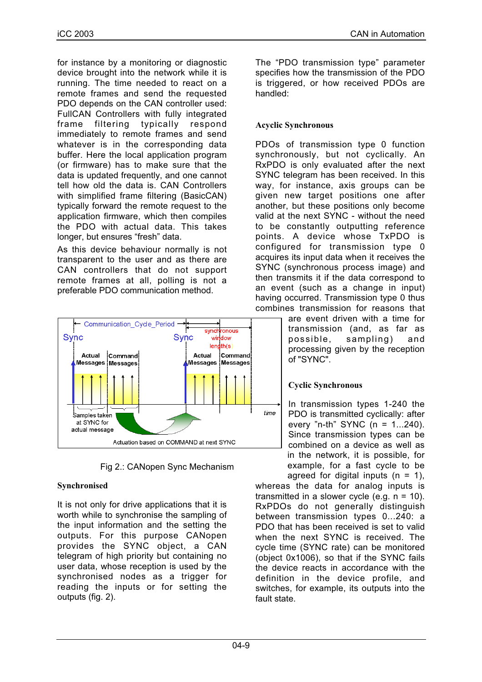for instance by a monitoring or diagnostic device brought into the network while it is running. The time needed to react on a remote frames and send the requested PDO depends on the CAN controller used: FullCAN Controllers with fully integrated frame filtering typically respond immediately to remote frames and send whatever is in the corresponding data buffer. Here the local application program (or firmware) has to make sure that the data is updated frequently, and one cannot tell how old the data is. CAN Controllers with simplified frame filtering (BasicCAN) typically forward the remote request to the application firmware, which then compiles the PDO with actual data. This takes longer, but ensures "fresh" data.

As this device behaviour normally is not transparent to the user and as there are CAN controllers that do not support remote frames at all, polling is not a preferable PDO communication method.



Fig 2.: CANopen Sync Mechanism

# **Synchronised**

It is not only for drive applications that it is worth while to synchronise the sampling of the input information and the setting the outputs. For this purpose CANopen provides the SYNC object, a CAN telegram of high priority but containing no user data, whose reception is used by the synchronised nodes as a trigger for reading the inputs or for setting the outputs (fig. 2).

The "PDO transmission type" parameter specifies how the transmission of the PDO is triggered, or how received PDOs are handled:

# **Acyclic Synchronous**

PDOs of transmission type 0 function synchronously, but not cyclically. An RxPDO is only evaluated after the next SYNC telegram has been received. In this way, for instance, axis groups can be given new target positions one after another, but these positions only become valid at the next SYNC - without the need to be constantly outputting reference points. A device whose TxPDO is configured for transmission type 0 acquires its input data when it receives the SYNC (synchronous process image) and then transmits it if the data correspond to an event (such as a change in input) having occurred. Transmission type 0 thus combines transmission for reasons that

> are event driven with a time for transmission (and, as far as possible, sampling) and processing given by the reception of "SYNC".

# **Cyclic Synchronous**

In transmission types 1-240 the PDO is transmitted cyclically: after every "n-th" SYNC  $(n = 1...240)$ . Since transmission types can be combined on a device as well as in the network, it is possible, for example, for a fast cycle to be agreed for digital inputs  $(n = 1)$ ,

whereas the data for analog inputs is transmitted in a slower cycle (e.g.  $n = 10$ ). RxPDOs do not generally distinguish between transmission types 0...240: a PDO that has been received is set to valid when the next SYNC is received. The cycle time (SYNC rate) can be monitored (object 0x1006), so that if the SYNC fails the device reacts in accordance with the definition in the device profile, and switches, for example, its outputs into the fault state.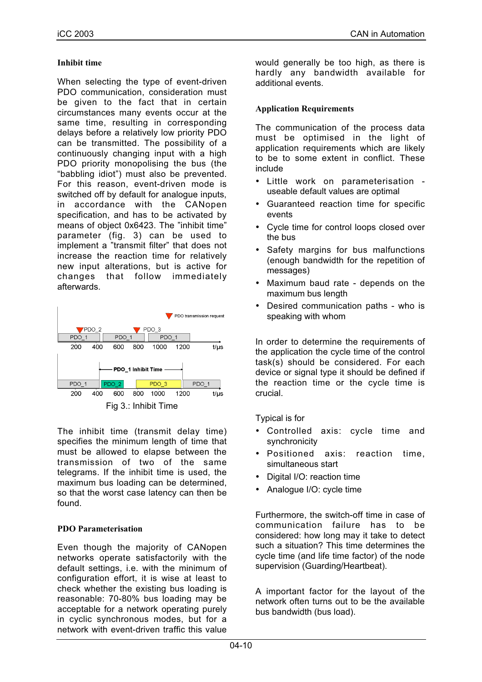## **Inhibit time**

When selecting the type of event-driven PDO communication, consideration must be given to the fact that in certain circumstances many events occur at the same time, resulting in corresponding delays before a relatively low priority PDO can be transmitted. The possibility of a continuously changing input with a high PDO priority monopolising the bus (the "babbling idiot") must also be prevented. For this reason, event-driven mode is switched off by default for analogue inputs, in accordance with the CANopen specification, and has to be activated by means of object 0x6423. The "inhibit time" parameter (fig. 3) can be used to implement a "transmit filter" that does not increase the reaction time for relatively new input alterations, but is active for changes that follow immediately afterwards.



The inhibit time (transmit delay time) specifies the minimum length of time that must be allowed to elapse between the transmission of two of the same telegrams. If the inhibit time is used, the maximum bus loading can be determined, so that the worst case latency can then be found.

# **PDO Parameterisation**

Even though the majority of CANopen networks operate satisfactorily with the default settings, i.e. with the minimum of configuration effort, it is wise at least to check whether the existing bus loading is reasonable: 70-80% bus loading may be acceptable for a network operating purely in cyclic synchronous modes, but for a network with event-driven traffic this value

would generally be too high, as there is hardly any bandwidth available for additional events.

## **Application Requirements**

The communication of the process data must be optimised in the light of application requirements which are likely to be to some extent in conflict. These include

- Little work on parameterisation useable default values are optimal
- Guaranteed reaction time for specific events
- Cycle time for control loops closed over the bus
- Safety margins for bus malfunctions (enough bandwidth for the repetition of messages)
- Maximum baud rate depends on the maximum bus length
- Desired communication paths who is speaking with whom

In order to determine the requirements of the application the cycle time of the control task(s) should be considered. For each device or signal type it should be defined if the reaction time or the cycle time is crucial.

Typical is for

- Controlled axis: cycle time and synchronicity
- Positioned axis: reaction time, simultaneous start
- Digital I/O: reaction time
- Analogue I/O: cycle time

Furthermore, the switch-off time in case of communication failure has to be considered: how long may it take to detect such a situation? This time determines the cycle time (and life time factor) of the node supervision (Guarding/Heartbeat).

A important factor for the layout of the network often turns out to be the available bus bandwidth (bus load).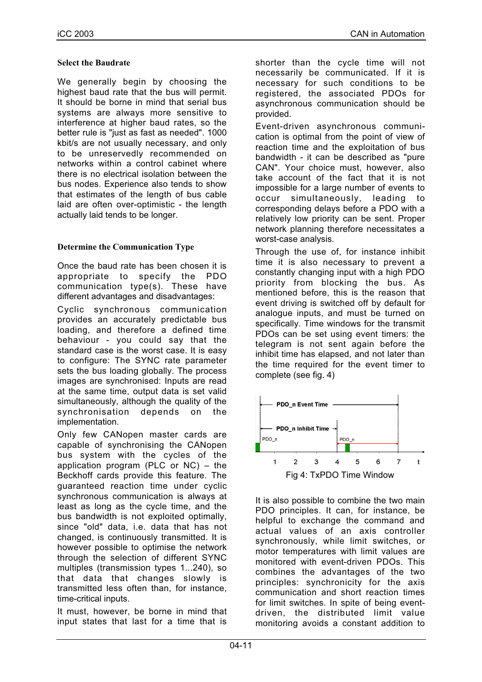#### **Select the Baudrate**

We generally begin by choosing the highest baud rate that the bus will permit. It should be borne in mind that serial bus systems are always more sensitive to interference at higher baud rates, so the better rule is "just as fast as needed". 1000 kbit/s are not usually necessary, and only to be unreservedly recommended on networks within a control cabinet where there is no electrical isolation between the bus nodes. Experience also tends to show that estimates of the length of bus cable laid are often over-optimistic - the length actually laid tends to be longer.

## **Determine the Communication Type**

Once the baud rate has been chosen it is appropriate to specify the PDO communication type(s). These have different advantages and disadvantages:

Cyclic synchronous communication provides an accurately predictable bus loading, and therefore a defined time behaviour - you could say that the standard case is the worst case. It is easy to configure: The SYNC rate parameter sets the bus loading globally. The process images are synchronised: Inputs are read at the same time, output data is set valid simultaneously, although the quality of the synchronisation depends on the implementation.

Only few CANopen master cards are capable of synchronising the CANopen bus system with the cycles of the application program (PLC or NC) – the Beckhoff cards provide this feature. The guaranteed reaction time under cyclic synchronous communication is always at least as long as the cycle time, and the bus bandwidth is not exploited optimally, since "old" data, i.e. data that has not changed, is continuously transmitted. It is however possible to optimise the network through the selection of different SYNC multiples (transmission types 1...240), so that data that changes slowly is transmitted less often than, for instance, time-critical inputs.

It must, however, be borne in mind that input states that last for a time that is

shorter than the cycle time will not necessarily be communicated. If it is necessary for such conditions to be registered, the associated PDOs for asynchronous communication should be provided.

Event-driven asynchronous communication is optimal from the point of view of reaction time and the exploitation of bus bandwidth - it can be described as "pure CAN". Your choice must, however, also take account of the fact that it is not impossible for a large number of events to occur simultaneously, leading to corresponding delays before a PDO with a relatively low priority can be sent. Proper network planning therefore necessitates a worst-case analysis.

Through the use of, for instance inhibit time it is also necessary to prevent a constantly changing input with a high PDO priority from blocking the bus. As mentioned before, this is the reason that event driving is switched off by default for analogue inputs, and must be turned on specifically. Time windows for the transmit PDOs can be set using event timers: the telegram is not sent again before the inhibit time has elapsed, and not later than the time required for the event timer to complete (see fig. 4)



It is also possible to combine the two main PDO principles. It can, for instance, be helpful to exchange the command and actual values of an axis controller synchronously, while limit switches, or motor temperatures with limit values are monitored with event-driven PDOs. This combines the advantages of the two principles: synchronicity for the axis communication and short reaction times for limit switches. In spite of being eventdriven, the distributed limit value monitoring avoids a constant addition to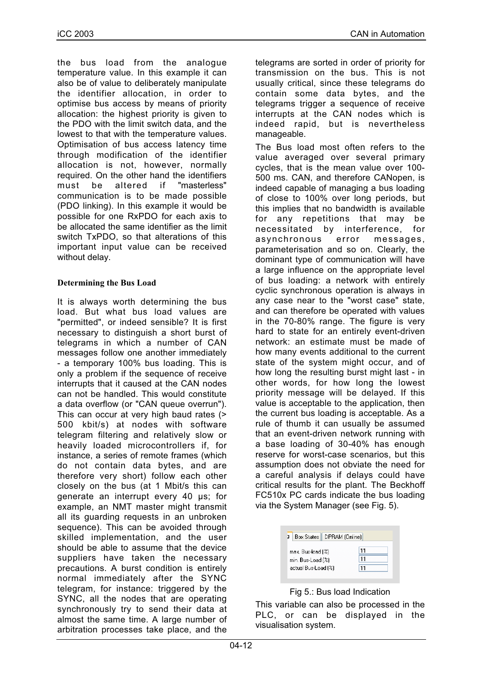the bus load from the analogue temperature value. In this example it can also be of value to deliberately manipulate the identifier allocation, in order to optimise bus access by means of priority allocation: the highest priority is given to the PDO with the limit switch data, and the lowest to that with the temperature values. Optimisation of bus access latency time through modification of the identifier allocation is not, however, normally required. On the other hand the identifiers must be altered if "masterless" communication is to be made possible (PDO linking). In this example it would be possible for one RxPDO for each axis to be allocated the same identifier as the limit switch TxPDO, so that alterations of this important input value can be received without delay.

## **Determining the Bus Load**

It is always worth determining the bus load. But what bus load values are "permitted", or indeed sensible? It is first necessary to distinguish a short burst of telegrams in which a number of CAN messages follow one another immediately - a temporary 100% bus loading. This is only a problem if the sequence of receive interrupts that it caused at the CAN nodes can not be handled. This would constitute a data overflow (or "CAN queue overrun"). This can occur at very high baud rates (> 500 kbit/s) at nodes with software telegram filtering and relatively slow or heavily loaded microcontrollers if, for instance, a series of remote frames (which do not contain data bytes, and are therefore very short) follow each other closely on the bus (at 1 Mbit/s this can generate an interrupt every 40 µs; for example, an NMT master might transmit all its guarding requests in an unbroken sequence). This can be avoided through skilled implementation, and the user should be able to assume that the device suppliers have taken the necessary precautions. A burst condition is entirely normal immediately after the SYNC telegram, for instance: triggered by the SYNC, all the nodes that are operating synchronously try to send their data at almost the same time. A large number of arbitration processes take place, and the

telegrams are sorted in order of priority for transmission on the bus. This is not usually critical, since these telegrams do contain some data bytes, and the telegrams trigger a sequence of receive interrupts at the CAN nodes which is indeed rapid, but is nevertheless manageable.

The Bus load most often refers to the value averaged over several primary cycles, that is the mean value over 100- 500 ms. CAN, and therefore CANopen, is indeed capable of managing a bus loading of close to 100% over long periods, but this implies that no bandwidth is available for any repetitions that may be necessitated by interference, for asynchronous error messages, parameterisation and so on. Clearly, the dominant type of communication will have a large influence on the appropriate level of bus loading: a network with entirely cyclic synchronous operation is always in any case near to the "worst case" state, and can therefore be operated with values in the 70-80% range. The figure is very hard to state for an entirely event-driven network: an estimate must be made of how many events additional to the current state of the system might occur, and of how long the resulting burst might last - in other words, for how long the lowest priority message will be delayed. If this value is acceptable to the application, then the current bus loading is acceptable. As a rule of thumb it can usually be assumed that an event-driven network running with a base loading of 30-40% has enough reserve for worst-case scenarios, but this assumption does not obviate the need for a careful analysis if delays could have critical results for the plant. The Beckhoff FC510x PC cards indicate the bus loading via the System Manager (see Fig. 5).



# Fig 5.: Bus load Indication

This variable can also be processed in the PLC, or can be displayed in the visualisation system.